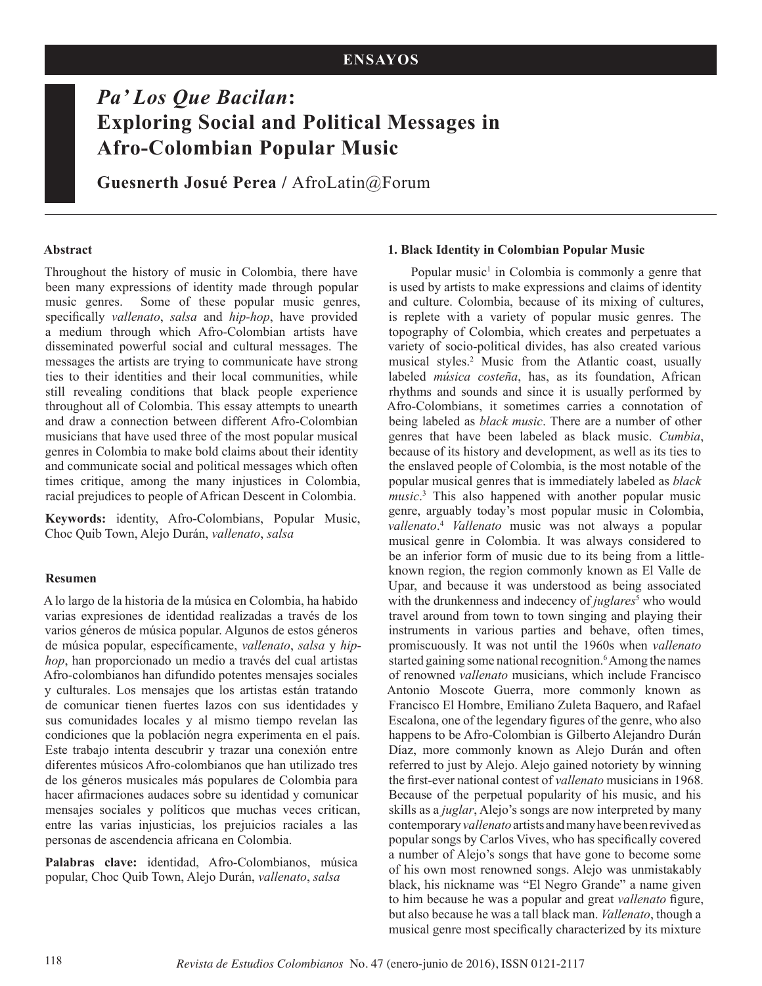## **ENSAYOS**

# *Pa' Los Que Bacilan***: Exploring Social and Political Messages in Afro-Colombian Popular Music**

**Guesnerth Josué Perea /** AfroLatin@Forum

#### **Abstract**

Throughout the history of music in Colombia, there have been many expressions of identity made through popular music genres. Some of these popular music genres, specifically *vallenato*, *salsa* and *hip-hop*, have provided a medium through which Afro-Colombian artists have disseminated powerful social and cultural messages. The messages the artists are trying to communicate have strong ties to their identities and their local communities, while still revealing conditions that black people experience throughout all of Colombia. This essay attempts to unearth and draw a connection between different Afro-Colombian musicians that have used three of the most popular musical genres in Colombia to make bold claims about their identity and communicate social and political messages which often times critique, among the many injustices in Colombia, racial prejudices to people of African Descent in Colombia.

**Keywords:** identity, Afro-Colombians, Popular Music, Choc Quib Town, Alejo Durán, *vallenato*, *salsa*

#### **Resumen**

A lo largo de la historia de la música en Colombia, ha habido varias expresiones de identidad realizadas a través de los varios géneros de música popular. Algunos de estos géneros de música popular, específicamente, *vallenato*, *salsa* y *hiphop*, han proporcionado un medio a través del cual artistas Afro-colombianos han difundido potentes mensajes sociales y culturales. Los mensajes que los artistas están tratando de comunicar tienen fuertes lazos con sus identidades y sus comunidades locales y al mismo tiempo revelan las condiciones que la población negra experimenta en el país. Este trabajo intenta descubrir y trazar una conexión entre diferentes músicos Afro-colombianos que han utilizado tres de los géneros musicales más populares de Colombia para hacer afirmaciones audaces sobre su identidad y comunicar mensajes sociales y políticos que muchas veces critican, entre las varias injusticias, los prejuicios raciales a las personas de ascendencia africana en Colombia.

**Palabras clave:** identidad, Afro-Colombianos, música popular, Choc Quib Town, Alejo Durán, *vallenato*, *salsa*

#### **1. Black Identity in Colombian Popular Music**

Popular music<sup>1</sup> in Colombia is commonly a genre that is used by artists to make expressions and claims of identity and culture. Colombia, because of its mixing of cultures, is replete with a variety of popular music genres. The topography of Colombia, which creates and perpetuates a variety of socio-political divides, has also created various musical styles.2 Music from the Atlantic coast, usually labeled *música costeña*, has, as its foundation, African rhythms and sounds and since it is usually performed by Afro-Colombians, it sometimes carries a connotation of being labeled as *black music*. There are a number of other genres that have been labeled as black music. *Cumbia*, because of its history and development, as well as its ties to the enslaved people of Colombia, is the most notable of the popular musical genres that is immediately labeled as *black music*. 3 This also happened with another popular music genre, arguably today's most popular music in Colombia, *vallenato*. <sup>4</sup> *Vallenato* music was not always a popular musical genre in Colombia. It was always considered to be an inferior form of music due to its being from a littleknown region, the region commonly known as El Valle de Upar, and because it was understood as being associated with the drunkenness and indecency of *juglares*<sup>5</sup> who would travel around from town to town singing and playing their instruments in various parties and behave, often times, promiscuously. It was not until the 1960s when *vallenato* started gaining some national recognition.<sup>6</sup> Among the names of renowned *vallenato* musicians, which include Francisco Antonio Moscote Guerra, more commonly known as Francisco El Hombre, Emiliano Zuleta Baquero, and Rafael Escalona, one of the legendary figures of the genre, who also happens to be Afro-Colombian is Gilberto Alejandro Durán Díaz, more commonly known as Alejo Durán and often referred to just by Alejo. Alejo gained notoriety by winning the first-ever national contest of *vallenato* musicians in 1968. Because of the perpetual popularity of his music, and his skills as a *juglar*, Alejo's songs are now interpreted by many contemporary *vallenato* artists and many have been revived as popular songs by Carlos Vives, who has specifically covered a number of Alejo's songs that have gone to become some of his own most renowned songs. Alejo was unmistakably black, his nickname was "El Negro Grande" a name given to him because he was a popular and great *vallenato* figure, but also because he was a tall black man. *Vallenato*, though a musical genre most specifically characterized by its mixture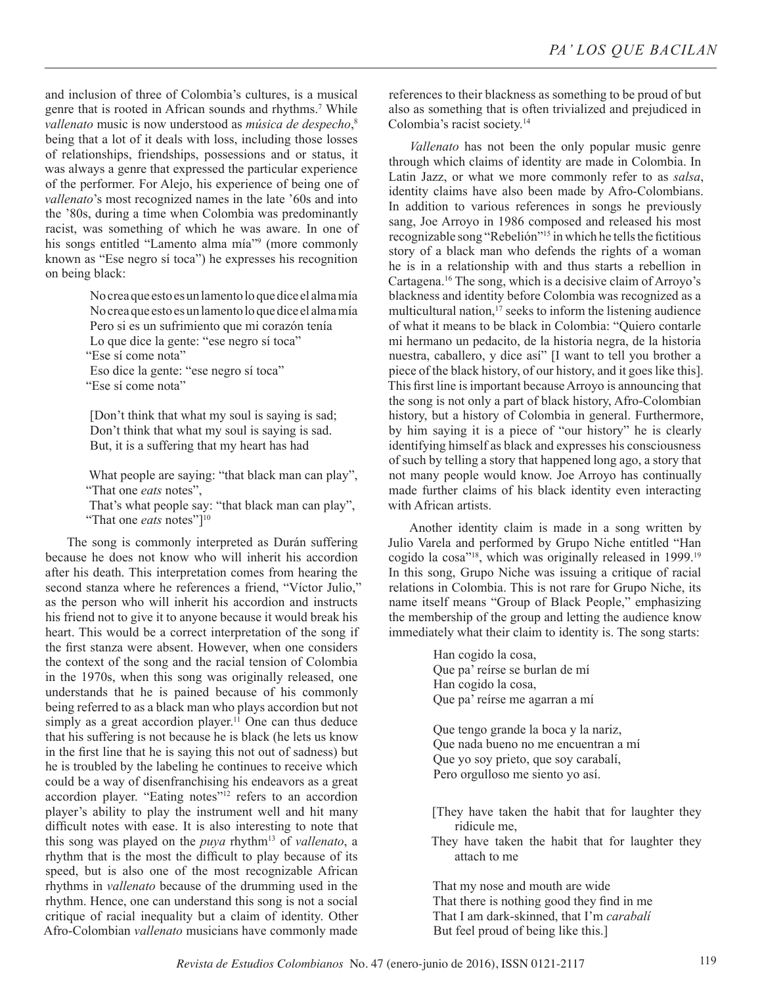and inclusion of three of Colombia's cultures, is a musical genre that is rooted in African sounds and rhythms.7 While *vallenato* music is now understood as *música de despecho*, 8 being that a lot of it deals with loss, including those losses of relationships, friendships, possessions and or status, it was always a genre that expressed the particular experience of the performer. For Alejo, his experience of being one of *vallenato*'s most recognized names in the late '60s and into the '80s, during a time when Colombia was predominantly racist, was something of which he was aware. In one of his songs entitled "Lamento alma mía"<sup>9</sup> (more commonly known as "Ese negro sí toca") he expresses his recognition on being black:

> No crea que esto es un lamento lo que dice el alma mía No crea que esto es un lamento lo que dice el alma mía Pero si es un sufrimiento que mi corazón tenía Lo que dice la gente: "ese negro sí toca"

"Ese sí come nota"

Eso dice la gente: "ese negro sí toca" "Ese sí come nota"

[Don't think that what my soul is saying is sad; Don't think that what my soul is saying is sad. But, it is a suffering that my heart has had

What people are saying: "that black man can play", "That one *eats* notes",

That's what people say: "that black man can play", "That one *eats* notes"]<sup>10</sup>

The song is commonly interpreted as Durán suffering because he does not know who will inherit his accordion after his death. This interpretation comes from hearing the second stanza where he references a friend, "Víctor Julio," as the person who will inherit his accordion and instructs his friend not to give it to anyone because it would break his heart. This would be a correct interpretation of the song if the first stanza were absent. However, when one considers the context of the song and the racial tension of Colombia in the 1970s, when this song was originally released, one understands that he is pained because of his commonly being referred to as a black man who plays accordion but not simply as a great accordion player.<sup>11</sup> One can thus deduce that his suffering is not because he is black (he lets us know in the first line that he is saying this not out of sadness) but he is troubled by the labeling he continues to receive which could be a way of disenfranchising his endeavors as a great accordion player. "Eating notes"<sup>12</sup> refers to an accordion player's ability to play the instrument well and hit many difficult notes with ease. It is also interesting to note that this song was played on the *puya* rhythm<sup>13</sup> of *vallenato*, a rhythm that is the most the difficult to play because of its speed, but is also one of the most recognizable African rhythms in *vallenato* because of the drumming used in the rhythm. Hence, one can understand this song is not a social critique of racial inequality but a claim of identity. Other Afro-Colombian *vallenato* musicians have commonly made

references to their blackness as something to be proud of but also as something that is often trivialized and prejudiced in Colombia's racist society.14

*Vallenato* has not been the only popular music genre through which claims of identity are made in Colombia. In Latin Jazz, or what we more commonly refer to as *salsa*, identity claims have also been made by Afro-Colombians. In addition to various references in songs he previously sang, Joe Arroyo in 1986 composed and released his most recognizable song "Rebelión"15 in which he tells the fictitious story of a black man who defends the rights of a woman he is in a relationship with and thus starts a rebellion in Cartagena.16 The song, which is a decisive claim of Arroyo's blackness and identity before Colombia was recognized as a multicultural nation, $17$  seeks to inform the listening audience of what it means to be black in Colombia: "Quiero contarle mi hermano un pedacito, de la historia negra, de la historia nuestra, caballero, y dice así" [I want to tell you brother a piece of the black history, of our history, and it goes like this]. This first line is important because Arroyo is announcing that the song is not only a part of black history, Afro-Colombian history, but a history of Colombia in general. Furthermore, by him saying it is a piece of "our history" he is clearly identifying himself as black and expresses his consciousness of such by telling a story that happened long ago, a story that not many people would know. Joe Arroyo has continually made further claims of his black identity even interacting with African artists.

Another identity claim is made in a song written by Julio Varela and performed by Grupo Niche entitled "Han cogido la cosa"18, which was originally released in 1999.19 In this song, Grupo Niche was issuing a critique of racial relations in Colombia. This is not rare for Grupo Niche, its name itself means "Group of Black People," emphasizing the membership of the group and letting the audience know immediately what their claim to identity is. The song starts:

> Han cogido la cosa, Que pa' reírse se burlan de mí Han cogido la cosa, Que pa' reírse me agarran a mí

Que tengo grande la boca y la nariz, Que nada bueno no me encuentran a mí Que yo soy prieto, que soy carabalí, Pero orgulloso me siento yo así.

[They have taken the habit that for laughter they ridicule me,

They have taken the habit that for laughter they attach to me

That my nose and mouth are wide That there is nothing good they find in me That I am dark-skinned, that I'm *carabalí* But feel proud of being like this.]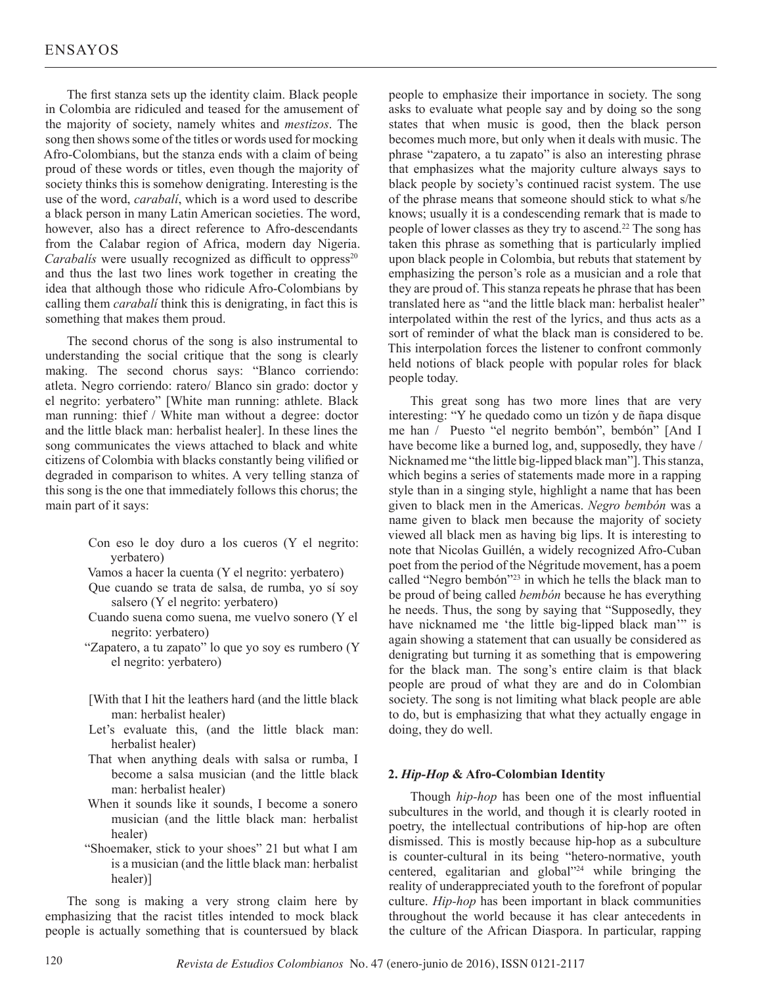The first stanza sets up the identity claim. Black people in Colombia are ridiculed and teased for the amusement of the majority of society, namely whites and *mestizos*. The song then shows some of the titles or words used for mocking Afro-Colombians, but the stanza ends with a claim of being proud of these words or titles, even though the majority of society thinks this is somehow denigrating. Interesting is the use of the word, *carabalí*, which is a word used to describe a black person in many Latin American societies. The word, however, also has a direct reference to Afro-descendants from the Calabar region of Africa, modern day Nigeria. *Carabalís* were usually recognized as difficult to oppress<sup>20</sup> and thus the last two lines work together in creating the idea that although those who ridicule Afro-Colombians by calling them *carabalí* think this is denigrating, in fact this is something that makes them proud.

The second chorus of the song is also instrumental to understanding the social critique that the song is clearly making. The second chorus says: "Blanco corriendo: atleta. Negro corriendo: ratero/ Blanco sin grado: doctor y el negrito: yerbatero" [White man running: athlete. Black man running: thief / White man without a degree: doctor and the little black man: herbalist healer]. In these lines the song communicates the views attached to black and white citizens of Colombia with blacks constantly being vilified or degraded in comparison to whites. A very telling stanza of this song is the one that immediately follows this chorus; the main part of it says:

> Con eso le doy duro a los cueros (Y el negrito: yerbatero)

Vamos a hacer la cuenta (Y el negrito: yerbatero)

Que cuando se trata de salsa, de rumba, yo sí soy salsero (Y el negrito: yerbatero)

- Cuando suena como suena, me vuelvo sonero (Y el negrito: yerbatero)
- "Zapatero, a tu zapato" lo que yo soy es rumbero (Y el negrito: yerbatero)
- [With that I hit the leathers hard (and the little black man: herbalist healer)
- Let's evaluate this, (and the little black man: herbalist healer)
- That when anything deals with salsa or rumba, I become a salsa musician (and the little black man: herbalist healer)
- When it sounds like it sounds, I become a sonero musician (and the little black man: herbalist healer)
- "Shoemaker, stick to your shoes" 21 but what I am is a musician (and the little black man: herbalist healer)]

The song is making a very strong claim here by emphasizing that the racist titles intended to mock black people is actually something that is countersued by black

people to emphasize their importance in society. The song asks to evaluate what people say and by doing so the song states that when music is good, then the black person becomes much more, but only when it deals with music. The phrase "zapatero, a tu zapato" is also an interesting phrase that emphasizes what the majority culture always says to black people by society's continued racist system. The use of the phrase means that someone should stick to what s/he knows; usually it is a condescending remark that is made to people of lower classes as they try to ascend.22 The song has taken this phrase as something that is particularly implied upon black people in Colombia, but rebuts that statement by emphasizing the person's role as a musician and a role that they are proud of. This stanza repeats he phrase that has been translated here as "and the little black man: herbalist healer" interpolated within the rest of the lyrics, and thus acts as a sort of reminder of what the black man is considered to be. This interpolation forces the listener to confront commonly held notions of black people with popular roles for black people today.

This great song has two more lines that are very interesting: "Y he quedado como un tizón y de ñapa disque me han / Puesto "el negrito bembón", bembón" [And I have become like a burned log, and, supposedly, they have / Nicknamed me "the little big-lipped black man"]. This stanza, which begins a series of statements made more in a rapping style than in a singing style, highlight a name that has been given to black men in the Americas. *Negro bembón* was a name given to black men because the majority of society viewed all black men as having big lips. It is interesting to note that Nicolas Guillén, a widely recognized Afro-Cuban poet from the period of the Négritude movement, has a poem called "Negro bembón"23 in which he tells the black man to be proud of being called *bembón* because he has everything he needs. Thus, the song by saying that "Supposedly, they have nicknamed me 'the little big-lipped black man'" is again showing a statement that can usually be considered as denigrating but turning it as something that is empowering for the black man. The song's entire claim is that black people are proud of what they are and do in Colombian society. The song is not limiting what black people are able to do, but is emphasizing that what they actually engage in doing, they do well.

#### **2.** *Hip-Hop* **& Afro-Colombian Identity**

Though *hip-hop* has been one of the most influential subcultures in the world, and though it is clearly rooted in poetry, the intellectual contributions of hip-hop are often dismissed. This is mostly because hip-hop as a subculture is counter-cultural in its being "hetero-normative, youth centered, egalitarian and global"24 while bringing the reality of underappreciated youth to the forefront of popular culture. *Hip-hop* has been important in black communities throughout the world because it has clear antecedents in the culture of the African Diaspora. In particular, rapping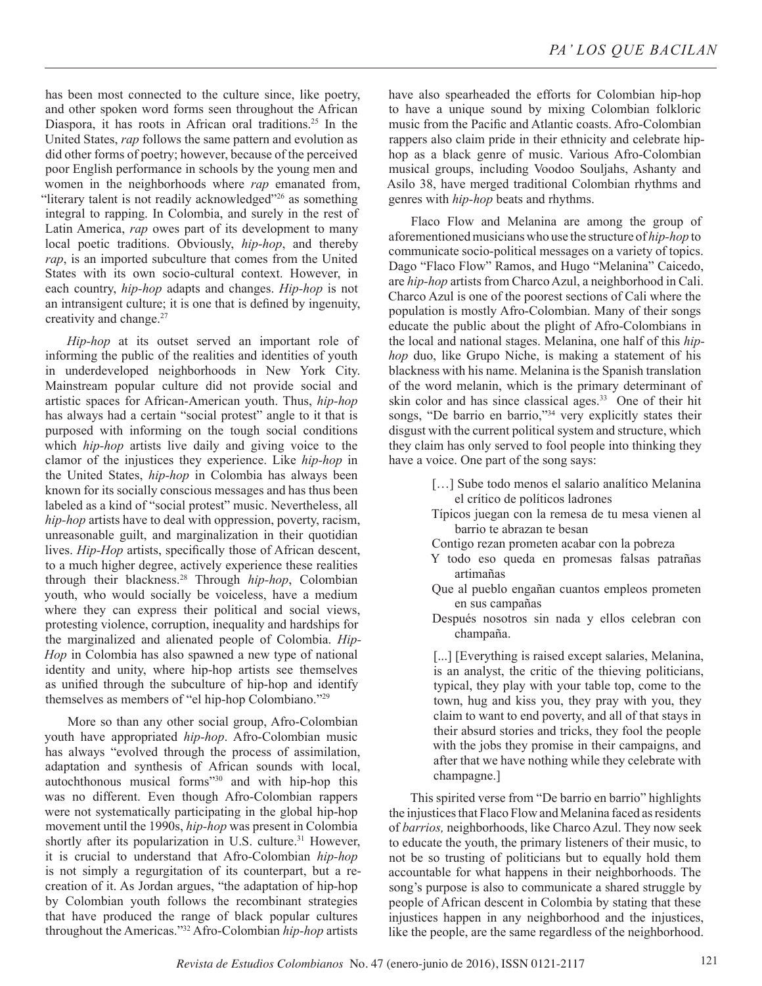has been most connected to the culture since, like poetry, and other spoken word forms seen throughout the African Diaspora, it has roots in African oral traditions.<sup>25</sup> In the United States, *rap* follows the same pattern and evolution as did other forms of poetry; however, because of the perceived poor English performance in schools by the young men and women in the neighborhoods where *rap* emanated from, "literary talent is not readily acknowledged"<sup>26</sup> as something integral to rapping. In Colombia, and surely in the rest of Latin America, *rap* owes part of its development to many local poetic traditions. Obviously, *hip-hop*, and thereby *rap*, is an imported subculture that comes from the United States with its own socio-cultural context. However, in each country, *hip-hop* adapts and changes. *Hip-hop* is not an intransigent culture; it is one that is defined by ingenuity, creativity and change.<sup>27</sup>

*Hip-hop* at its outset served an important role of informing the public of the realities and identities of youth in underdeveloped neighborhoods in New York City. Mainstream popular culture did not provide social and artistic spaces for African-American youth. Thus, *hip-hop* has always had a certain "social protest" angle to it that is purposed with informing on the tough social conditions which *hip-hop* artists live daily and giving voice to the clamor of the injustices they experience. Like *hip-hop* in the United States, *hip-hop* in Colombia has always been known for its socially conscious messages and has thus been labeled as a kind of "social protest" music. Nevertheless, all *hip-hop* artists have to deal with oppression, poverty, racism, unreasonable guilt, and marginalization in their quotidian lives. *Hip-Hop* artists, specifically those of African descent, to a much higher degree, actively experience these realities through their blackness.28 Through *hip-hop*, Colombian youth, who would socially be voiceless, have a medium where they can express their political and social views, protesting violence, corruption, inequality and hardships for the marginalized and alienated people of Colombia. *Hip-Hop* in Colombia has also spawned a new type of national identity and unity, where hip-hop artists see themselves as unified through the subculture of hip-hop and identify themselves as members of "el hip-hop Colombiano."29

More so than any other social group, Afro-Colombian youth have appropriated *hip-hop*. Afro-Colombian music has always "evolved through the process of assimilation, adaptation and synthesis of African sounds with local, autochthonous musical forms"30 and with hip-hop this was no different. Even though Afro-Colombian rappers were not systematically participating in the global hip-hop movement until the 1990s, *hip-hop* was present in Colombia shortly after its popularization in U.S. culture.<sup>31</sup> However, it is crucial to understand that Afro-Colombian *hip-hop* is not simply a regurgitation of its counterpart, but a recreation of it. As Jordan argues, "the adaptation of hip-hop by Colombian youth follows the recombinant strategies that have produced the range of black popular cultures throughout the Americas."32 Afro-Colombian *hip-hop* artists

have also spearheaded the efforts for Colombian hip-hop to have a unique sound by mixing Colombian folkloric music from the Pacific and Atlantic coasts. Afro-Colombian rappers also claim pride in their ethnicity and celebrate hiphop as a black genre of music. Various Afro-Colombian musical groups, including Voodoo Souljahs, Ashanty and Asilo 38, have merged traditional Colombian rhythms and genres with *hip-hop* beats and rhythms.

Flaco Flow and Melanina are among the group of aforementioned musicians who use the structure of *hip-hop* to communicate socio-political messages on a variety of topics. Dago "Flaco Flow" Ramos, and Hugo "Melanina" Caicedo, are *hip-hop* artists from Charco Azul, a neighborhood in Cali. Charco Azul is one of the poorest sections of Cali where the population is mostly Afro-Colombian. Many of their songs educate the public about the plight of Afro-Colombians in the local and national stages. Melanina, one half of this *hiphop* duo, like Grupo Niche, is making a statement of his blackness with his name. Melanina is the Spanish translation of the word melanin, which is the primary determinant of skin color and has since classical ages.33 One of their hit songs, "De barrio en barrio,"<sup>34</sup> very explicitly states their disgust with the current political system and structure, which they claim has only served to fool people into thinking they have a voice. One part of the song says:

- [...] Sube todo menos el salario analítico Melanina el crítico de políticos ladrones
- Típicos juegan con la remesa de tu mesa vienen al barrio te abrazan te besan
- Contigo rezan prometen acabar con la pobreza
- Y todo eso queda en promesas falsas patrañas artimañas
- Que al pueblo engañan cuantos empleos prometen en sus campañas
- Después nosotros sin nada y ellos celebran con champaña.

[...] [Everything is raised except salaries, Melanina, is an analyst, the critic of the thieving politicians, typical, they play with your table top, come to the town, hug and kiss you, they pray with you, they claim to want to end poverty, and all of that stays in their absurd stories and tricks, they fool the people with the jobs they promise in their campaigns, and after that we have nothing while they celebrate with champagne.]

This spirited verse from "De barrio en barrio" highlights the injustices that Flaco Flow and Melanina faced as residents of *barrios,* neighborhoods, like Charco Azul. They now seek to educate the youth, the primary listeners of their music, to not be so trusting of politicians but to equally hold them accountable for what happens in their neighborhoods. The song's purpose is also to communicate a shared struggle by people of African descent in Colombia by stating that these injustices happen in any neighborhood and the injustices, like the people, are the same regardless of the neighborhood.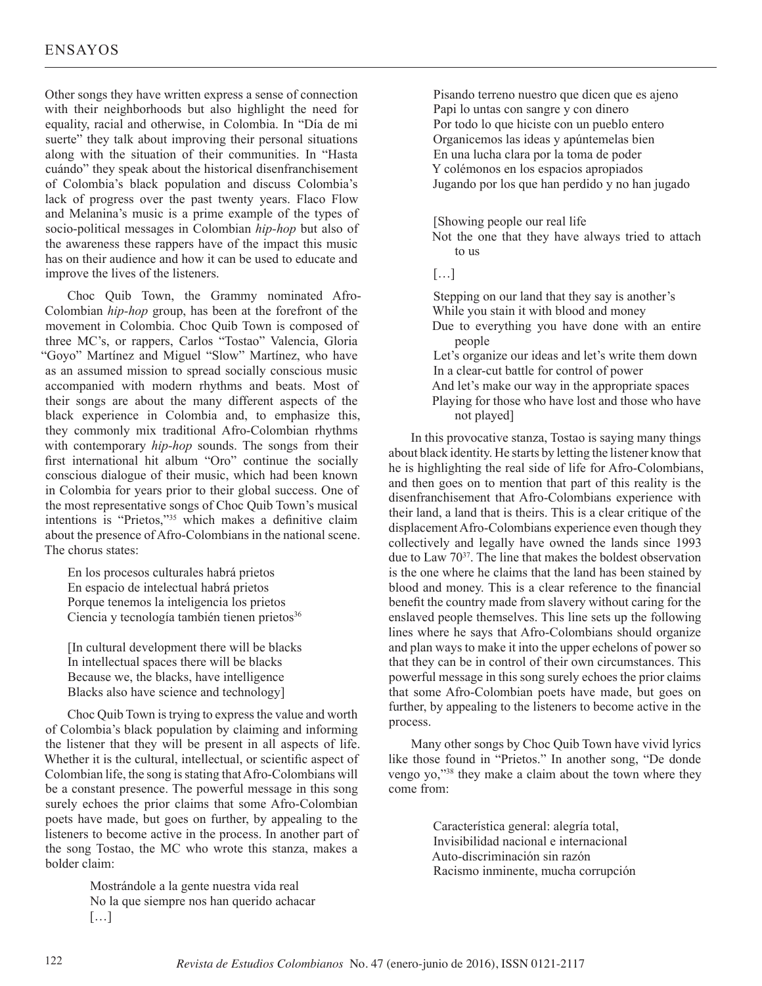Other songs they have written express a sense of connection with their neighborhoods but also highlight the need for equality, racial and otherwise, in Colombia. In "Día de mi suerte" they talk about improving their personal situations along with the situation of their communities. In "Hasta cuándo" they speak about the historical disenfranchisement of Colombia's black population and discuss Colombia's lack of progress over the past twenty years. Flaco Flow and Melanina's music is a prime example of the types of socio-political messages in Colombian *hip-hop* but also of the awareness these rappers have of the impact this music has on their audience and how it can be used to educate and improve the lives of the listeners.

Choc Quib Town, the Grammy nominated Afro-Colombian *hip-hop* group, has been at the forefront of the movement in Colombia. Choc Quib Town is composed of three MC's, or rappers, Carlos "Tostao" Valencia, Gloria "Goyo" Martínez and Miguel "Slow" Martínez, who have as an assumed mission to spread socially conscious music accompanied with modern rhythms and beats. Most of their songs are about the many different aspects of the black experience in Colombia and, to emphasize this, they commonly mix traditional Afro-Colombian rhythms with contemporary *hip-hop* sounds. The songs from their first international hit album "Oro" continue the socially conscious dialogue of their music, which had been known in Colombia for years prior to their global success. One of the most representative songs of Choc Quib Town's musical intentions is "Prietos,"35 which makes a definitive claim about the presence of Afro-Colombians in the national scene. The chorus states:

En los procesos culturales habrá prietos En espacio de intelectual habrá prietos Porque tenemos la inteligencia los prietos Ciencia y tecnología también tienen prietos<sup>36</sup>

[In cultural development there will be blacks In intellectual spaces there will be blacks Because we, the blacks, have intelligence Blacks also have science and technology]

Choc Quib Town is trying to express the value and worth of Colombia's black population by claiming and informing the listener that they will be present in all aspects of life. Whether it is the cultural, intellectual, or scientific aspect of Colombian life, the song is stating that Afro-Colombians will be a constant presence. The powerful message in this song surely echoes the prior claims that some Afro-Colombian poets have made, but goes on further, by appealing to the listeners to become active in the process. In another part of the song Tostao, the MC who wrote this stanza, makes a bolder claim:

> Mostrándole a la gente nuestra vida real No la que siempre nos han querido achacar […]

Pisando terreno nuestro que dicen que es ajeno Papi lo untas con sangre y con dinero Por todo lo que hiciste con un pueblo entero Organicemos las ideas y apúntemelas bien En una lucha clara por la toma de poder Y colémonos en los espacios apropiados Jugando por los que han perdido y no han jugado

[Showing people our real life

Not the one that they have always tried to attach to us

 $[\ldots]$ 

Stepping on our land that they say is another's While you stain it with blood and money Due to everything you have done with an entire people Let's organize our ideas and let's write them down In a clear-cut battle for control of power

And let's make our way in the appropriate spaces Playing for those who have lost and those who have not played]

In this provocative stanza, Tostao is saying many things about black identity. He starts by letting the listener know that he is highlighting the real side of life for Afro-Colombians, and then goes on to mention that part of this reality is the disenfranchisement that Afro-Colombians experience with their land, a land that is theirs. This is a clear critique of the displacement Afro-Colombians experience even though they collectively and legally have owned the lands since 1993 due to Law  $70^{37}$ . The line that makes the boldest observation is the one where he claims that the land has been stained by blood and money. This is a clear reference to the financial benefit the country made from slavery without caring for the enslaved people themselves. This line sets up the following lines where he says that Afro-Colombians should organize and plan ways to make it into the upper echelons of power so that they can be in control of their own circumstances. This powerful message in this song surely echoes the prior claims that some Afro-Colombian poets have made, but goes on further, by appealing to the listeners to become active in the process.

Many other songs by Choc Quib Town have vivid lyrics like those found in "Prietos." In another song, "De donde vengo yo,"38 they make a claim about the town where they come from:

> Característica general: alegría total, Invisibilidad nacional e internacional Auto-discriminación sin razón Racismo inminente, mucha corrupción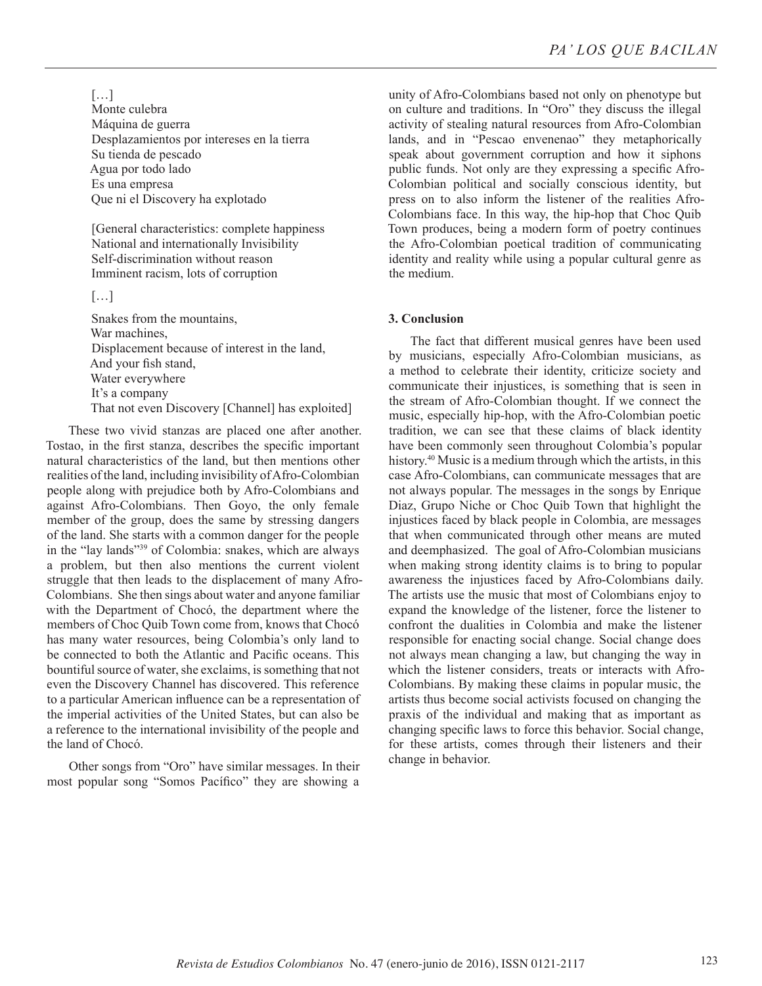[…]

Monte culebra Máquina de guerra Desplazamientos por intereses en la tierra Su tienda de pescado Agua por todo lado Es una empresa Que ni el Discovery ha explotado

[General characteristics: complete happiness National and internationally Invisibility Self-discrimination without reason Imminent racism, lots of corruption

## […]

Snakes from the mountains, War machines, Displacement because of interest in the land, And your fish stand, Water everywhere It's a company That not even Discovery [Channel] has exploited]

These two vivid stanzas are placed one after another. Tostao, in the first stanza, describes the specific important natural characteristics of the land, but then mentions other realities of the land, including invisibility of Afro-Colombian people along with prejudice both by Afro-Colombians and against Afro-Colombians. Then Goyo, the only female member of the group, does the same by stressing dangers of the land. She starts with a common danger for the people in the "lay lands"39 of Colombia: snakes, which are always a problem, but then also mentions the current violent struggle that then leads to the displacement of many Afro-Colombians. She then sings about water and anyone familiar with the Department of Chocó, the department where the members of Choc Quib Town come from, knows that Chocó has many water resources, being Colombia's only land to be connected to both the Atlantic and Pacific oceans. This bountiful source of water, she exclaims, is something that not even the Discovery Channel has discovered. This reference to a particular American influence can be a representation of the imperial activities of the United States, but can also be a reference to the international invisibility of the people and the land of Chocó.

Other songs from "Oro" have similar messages. In their most popular song "Somos Pacífico" they are showing a

unity of Afro-Colombians based not only on phenotype but on culture and traditions. In "Oro" they discuss the illegal activity of stealing natural resources from Afro-Colombian lands, and in "Pescao envenenao" they metaphorically speak about government corruption and how it siphons public funds. Not only are they expressing a specific Afro-Colombian political and socially conscious identity, but press on to also inform the listener of the realities Afro-Colombians face. In this way, the hip-hop that Choc Quib Town produces, being a modern form of poetry continues the Afro-Colombian poetical tradition of communicating identity and reality while using a popular cultural genre as the medium.

### **3. Conclusion**

The fact that different musical genres have been used by musicians, especially Afro-Colombian musicians, as a method to celebrate their identity, criticize society and communicate their injustices, is something that is seen in the stream of Afro-Colombian thought. If we connect the music, especially hip-hop, with the Afro-Colombian poetic tradition, we can see that these claims of black identity have been commonly seen throughout Colombia's popular history.40 Music is a medium through which the artists, in this case Afro-Colombians, can communicate messages that are not always popular. The messages in the songs by Enrique Diaz, Grupo Niche or Choc Quib Town that highlight the injustices faced by black people in Colombia, are messages that when communicated through other means are muted and deemphasized. The goal of Afro-Colombian musicians when making strong identity claims is to bring to popular awareness the injustices faced by Afro-Colombians daily. The artists use the music that most of Colombians enjoy to expand the knowledge of the listener, force the listener to confront the dualities in Colombia and make the listener responsible for enacting social change. Social change does not always mean changing a law, but changing the way in which the listener considers, treats or interacts with Afro-Colombians. By making these claims in popular music, the artists thus become social activists focused on changing the praxis of the individual and making that as important as changing specific laws to force this behavior. Social change, for these artists, comes through their listeners and their change in behavior.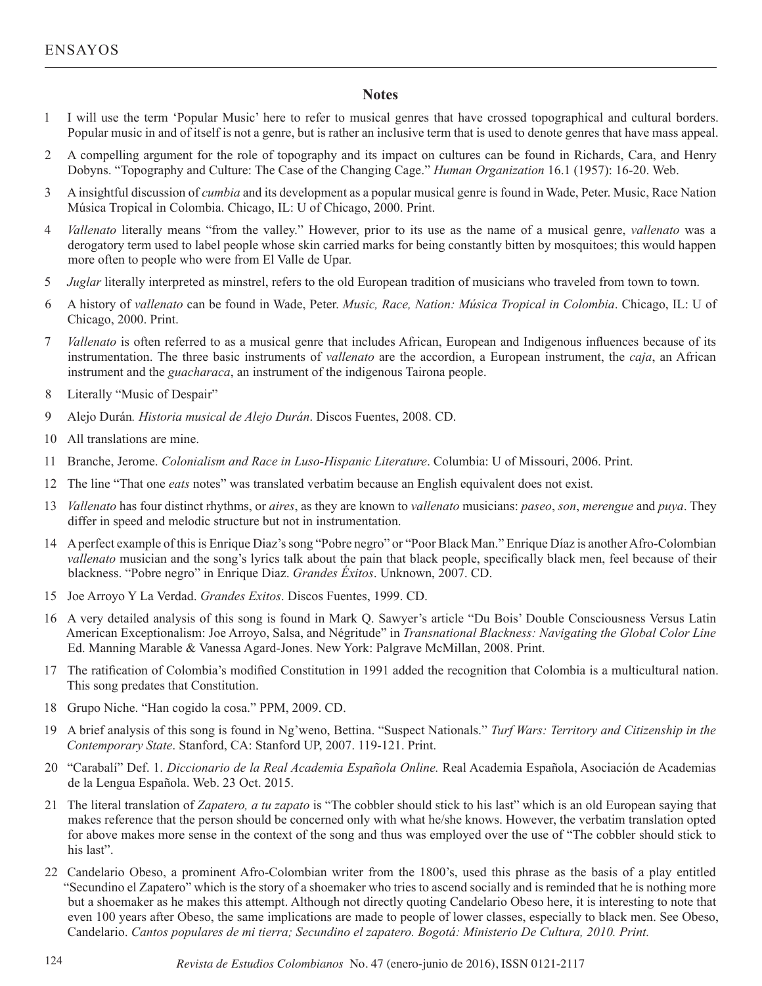## **Notes**

- 1 I will use the term 'Popular Music' here to refer to musical genres that have crossed topographical and cultural borders. Popular music in and of itself is not a genre, but is rather an inclusive term that is used to denote genres that have mass appeal.
- 2 A compelling argument for the role of topography and its impact on cultures can be found in Richards, Cara, and Henry Dobyns. "Topography and Culture: The Case of the Changing Cage." *Human Organization* 16.1 (1957): 16-20. Web.
- 3 A insightful discussion of *cumbia* and its development as a popular musical genre is found in Wade, Peter. Music, Race Nation Música Tropical in Colombia. Chicago, IL: U of Chicago, 2000. Print.
- 4 *Vallenato* literally means "from the valley." However, prior to its use as the name of a musical genre, *vallenato* was a derogatory term used to label people whose skin carried marks for being constantly bitten by mosquitoes; this would happen more often to people who were from El Valle de Upar.
- 5 *Juglar* literally interpreted as minstrel, refers to the old European tradition of musicians who traveled from town to town.
- 6 A history of *vallenato* can be found in Wade, Peter. *Music, Race, Nation: Música Tropical in Colombia*. Chicago, IL: U of Chicago, 2000. Print.
- 7 *Vallenato* is often referred to as a musical genre that includes African, European and Indigenous influences because of its instrumentation. The three basic instruments of *vallenato* are the accordion, a European instrument, the *caja*, an African instrument and the *guacharaca*, an instrument of the indigenous Tairona people.
- 8 Literally "Music of Despair"
- 9 Alejo Durán*. Historia musical de Alejo Durán*. Discos Fuentes, 2008. CD.
- 10 All translations are mine.
- 11 Branche, Jerome. *Colonialism and Race in Luso-Hispanic Literature*. Columbia: U of Missouri, 2006. Print.
- 12 The line "That one *eats* notes" was translated verbatim because an English equivalent does not exist.
- 13 *Vallenato* has four distinct rhythms, or *aires*, as they are known to *vallenato* musicians: *paseo*, *son*, *merengue* and *puya*. They differ in speed and melodic structure but not in instrumentation.
- 14 A perfect example of this is Enrique Diaz's song "Pobre negro" or "Poor Black Man." Enrique Díaz is another Afro-Colombian *vallenato* musician and the song's lyrics talk about the pain that black people, specifically black men, feel because of their blackness. "Pobre negro" in Enrique Diaz. *Grandes Éxitos*. Unknown, 2007. CD.
- 15 Joe Arroyo Y La Verdad. *Grandes Exitos*. Discos Fuentes, 1999. CD.
- 16 A very detailed analysis of this song is found in Mark Q. Sawyer's article "Du Bois' Double Consciousness Versus Latin American Exceptionalism: Joe Arroyo, Salsa, and Négritude" in *Transnational Blackness: Navigating the Global Color Line* Ed. Manning Marable & Vanessa Agard-Jones. New York: Palgrave McMillan, 2008. Print.
- 17 The ratification of Colombia's modified Constitution in 1991 added the recognition that Colombia is a multicultural nation. This song predates that Constitution.
- 18 Grupo Niche. "Han cogido la cosa." PPM, 2009. CD.
- 19 A brief analysis of this song is found in Ng'weno, Bettina. "Suspect Nationals." *Turf Wars: Territory and Citizenship in the Contemporary State*. Stanford, CA: Stanford UP, 2007. 119-121. Print.
- 20 "Carabalí" Def. 1. *Diccionario de la Real Academia Española Online.* Real Academia Española, Asociación de Academias de la Lengua Española. Web. 23 Oct. 2015.
- 21 The literal translation of *Zapatero, a tu zapato* is "The cobbler should stick to his last" which is an old European saying that makes reference that the person should be concerned only with what he/she knows. However, the verbatim translation opted for above makes more sense in the context of the song and thus was employed over the use of "The cobbler should stick to his last".
- 22 Candelario Obeso, a prominent Afro-Colombian writer from the 1800's, used this phrase as the basis of a play entitled "Secundino el Zapatero" which is the story of a shoemaker who tries to ascend socially and is reminded that he is nothing more but a shoemaker as he makes this attempt. Although not directly quoting Candelario Obeso here, it is interesting to note that even 100 years after Obeso, the same implications are made to people of lower classes, especially to black men. See Obeso, Candelario. *Cantos populares de mi tierra; Secundino el zapatero. Bogotá: Ministerio De Cultura, 2010. Print.*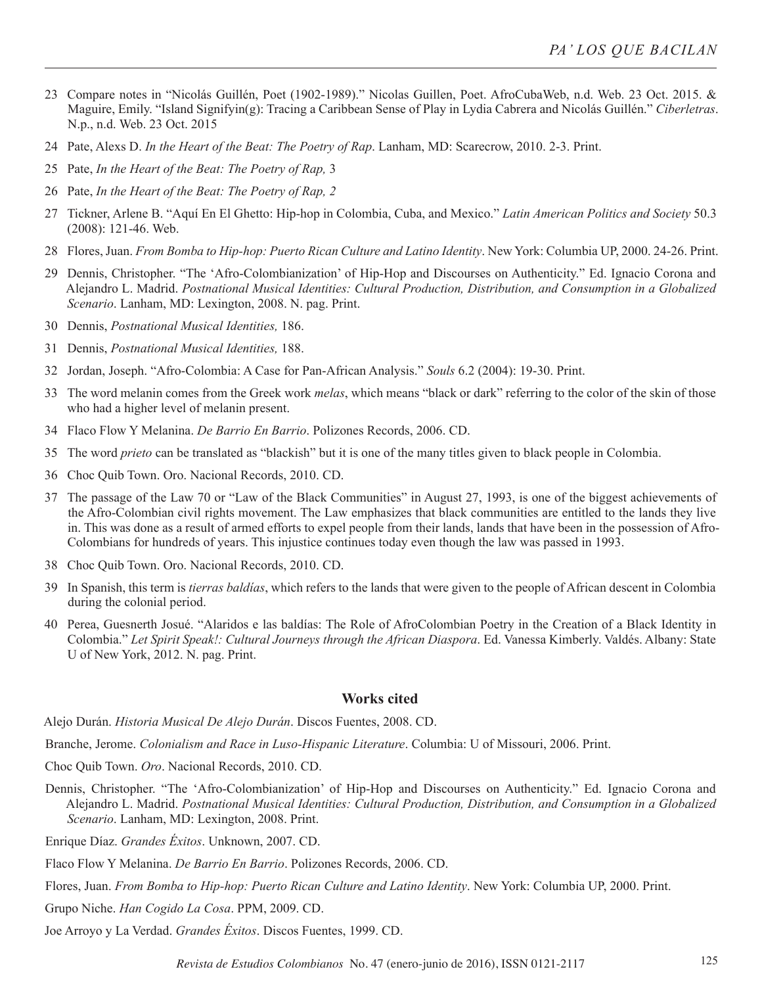- 23 Compare notes in "Nicolás Guillén, Poet (1902-1989)." Nicolas Guillen, Poet. AfroCubaWeb, n.d. Web. 23 Oct. 2015. & Maguire, Emily. "Island Signifyin(g): Tracing a Caribbean Sense of Play in Lydia Cabrera and Nicolás Guillén." *Ciberletras*. N.p., n.d. Web. 23 Oct. 2015
- 24 Pate, Alexs D. *In the Heart of the Beat: The Poetry of Rap*. Lanham, MD: Scarecrow, 2010. 2-3. Print.
- 25 Pate, *In the Heart of the Beat: The Poetry of Rap,* 3
- 26 Pate, *In the Heart of the Beat: The Poetry of Rap, 2*
- 27 Tickner, Arlene B. "Aquí En El Ghetto: Hip-hop in Colombia, Cuba, and Mexico." *Latin American Politics and Society* 50.3 (2008): 121-46. Web.
- 28 Flores, Juan. *From Bomba to Hip-hop: Puerto Rican Culture and Latino Identity*. New York: Columbia UP, 2000. 24-26. Print.
- 29 Dennis, Christopher. "The 'Afro-Colombianization' of Hip-Hop and Discourses on Authenticity." Ed. Ignacio Corona and Alejandro L. Madrid. *Postnational Musical Identities: Cultural Production, Distribution, and Consumption in a Globalized Scenario*. Lanham, MD: Lexington, 2008. N. pag. Print.
- 30 Dennis, *Postnational Musical Identities,* 186.
- 31 Dennis, *Postnational Musical Identities,* 188.
- 32 Jordan, Joseph. "Afro-Colombia: A Case for Pan-African Analysis." *Souls* 6.2 (2004): 19-30. Print.
- 33 The word melanin comes from the Greek work *melas*, which means "black or dark" referring to the color of the skin of those who had a higher level of melanin present.
- 34 Flaco Flow Y Melanina. *De Barrio En Barrio*. Polizones Records, 2006. CD.
- 35 The word *prieto* can be translated as "blackish" but it is one of the many titles given to black people in Colombia.
- 36 Choc Quib Town. Oro. Nacional Records, 2010. CD.
- 37 The passage of the Law 70 or "Law of the Black Communities" in August 27, 1993, is one of the biggest achievements of the Afro-Colombian civil rights movement. The Law emphasizes that black communities are entitled to the lands they live in. This was done as a result of armed efforts to expel people from their lands, lands that have been in the possession of Afro-Colombians for hundreds of years. This injustice continues today even though the law was passed in 1993.
- 38 Choc Quib Town. Oro. Nacional Records, 2010. CD.
- 39 In Spanish, this term is *tierras baldías*, which refers to the lands that were given to the people of African descent in Colombia during the colonial period.
- 40 Perea, Guesnerth Josué. "Alaridos e las baldías: The Role of AfroColombian Poetry in the Creation of a Black Identity in Colombia." *Let Spirit Speak!: Cultural Journeys through the African Diaspora*. Ed. Vanessa Kimberly. Valdés. Albany: State U of New York, 2012. N. pag. Print.

#### **Works cited**

Alejo Durán. *Historia Musical De Alejo Durán*. Discos Fuentes, 2008. CD.

Branche, Jerome. *Colonialism and Race in Luso-Hispanic Literature*. Columbia: U of Missouri, 2006. Print.

- Choc Quib Town. *Oro*. Nacional Records, 2010. CD.
- Dennis, Christopher. "The 'Afro-Colombianization' of Hip-Hop and Discourses on Authenticity." Ed. Ignacio Corona and Alejandro L. Madrid. *Postnational Musical Identities: Cultural Production, Distribution, and Consumption in a Globalized Scenario*. Lanham, MD: Lexington, 2008. Print.

Enrique Díaz. *Grandes Éxitos*. Unknown, 2007. CD.

Flaco Flow Y Melanina. *De Barrio En Barrio*. Polizones Records, 2006. CD.

- Flores, Juan. *From Bomba to Hip-hop: Puerto Rican Culture and Latino Identity*. New York: Columbia UP, 2000. Print.
- Grupo Niche. *Han Cogido La Cosa*. PPM, 2009. CD.
- Joe Arroyo y La Verdad. *Grandes Éxitos*. Discos Fuentes, 1999. CD.